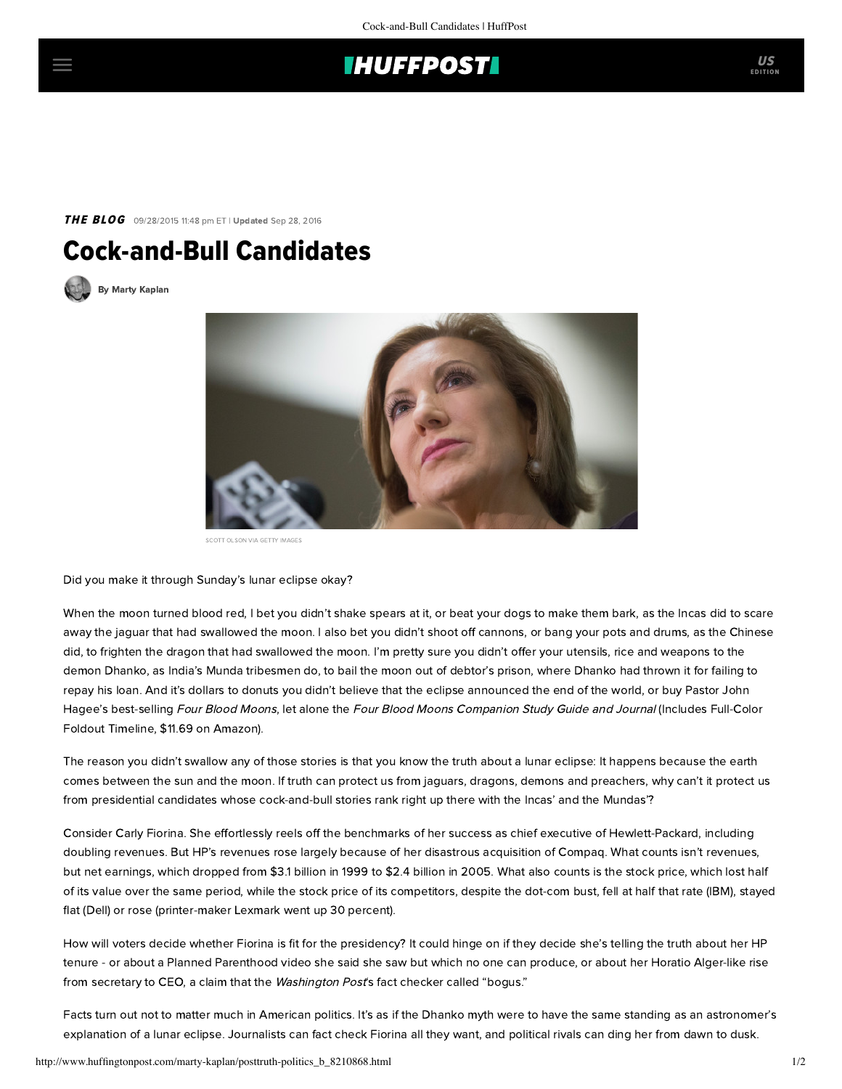## **IHUFFPOSTI**

THE BLOG 09/28/2015 11:48 pm ET | Updated Sep 28, 2016

## Cock-and-Bull Candidates



[By Marty Kaplan](http://www.huffingtonpost.com/author/marty-kaplan)



SCOTT OLSON VIA GETTY IMAGES

Did you make it through Sunday's lunar eclipse okay?

When the moon turned blood red, I bet you didn't shake spears at it, or beat your dogs to make them bark, as the Incas did to scare away the jaguar that had swallowed the moon. I also bet you didn't shoot off cannons, or bang your pots and drums, as the Chinese did, to frighten the dragon that had swallowed the moon. I'm pretty sure you didn't offer your utensils, rice and weapons to the demon Dhanko, as India's Munda tribesmen do, to bail the moon out of debtor's prison, where Dhanko had thrown it for failing to repay his loan. And it's dollars to donuts you didn't believe that the eclipse announced the end of the world, or buy Pastor John Hagee's best-selling Four Blood Moons, let alone the Four Blood Moons Companion Study Guide and Journal (Includes Full-Color Foldout Timeline, \$11.69 on Amazon).

The reason you didn't swallow any of those stories is that you know the truth about a lunar eclipse: It happens because the earth comes between the sun and the moon. If truth can protect us from jaguars, dragons, demons and preachers, why can't it protect us from presidential candidates whose cock-and-bull stories rank right up there with the Incas' and the Mundas'?

Consider Carly Fiorina. She effortlessly reels off the benchmarks of her success as chief executive of Hewlett-Packard, including doubling revenues. But HP's revenues rose largely because of her disastrous acquisition of Compaq. What counts isn't revenues, but net earnings, which [dropped](http://www.factcheck.org/2015/05/fiorinas-selective-record-at-hp/) from \$3.1 billion in 1999 to \$2.4 billion in 2005. What also counts is the stock price, which [lost](http://finance.yahoo.com/news/carly-fiorina-s-record-at-hewlett-packard--by-the-numbers-184234108.html) half of its value over the same period, while the stock price of its competitors, [despite the dot-com bust](http://www.washingtonpost.com/business/economy/fiorinas-record-at-hp-defines-her-candidacy--which-could-be-a-problem/2015/09/26/5a5b5e16-6174-11e5-8e9e-dce8a2a2a679_story.html), fell at half that rate (IBM), stayed flat (Dell) or rose (printer-maker Lexmark went up 30 percent).

How will voters decide whether Fiorina is fit for the presidency? It could hinge on if they decide she's telling the truth about her HP tenure - or about a Planned Parenthood video she said she saw but which no one can produce, or about her Horatio Alger-like rise from secretary to CEO, a claim that the Washington Post's fact checker called "[bogus](http://www.washingtonpost.com/blogs/fact-checker/wp/2015/09/25/carly-fiorinas-bogus-secretary-to-ceo-career-trajectory-fact-checker-biography/)."

Facts turn out not to matter much in American politics. It's as if the Dhanko myth were to have the same standing as an astronomer's explanation of a lunar eclipse. Journalists can fact check Fiorina all they want, and political rivals can ding her from dawn to dusk.